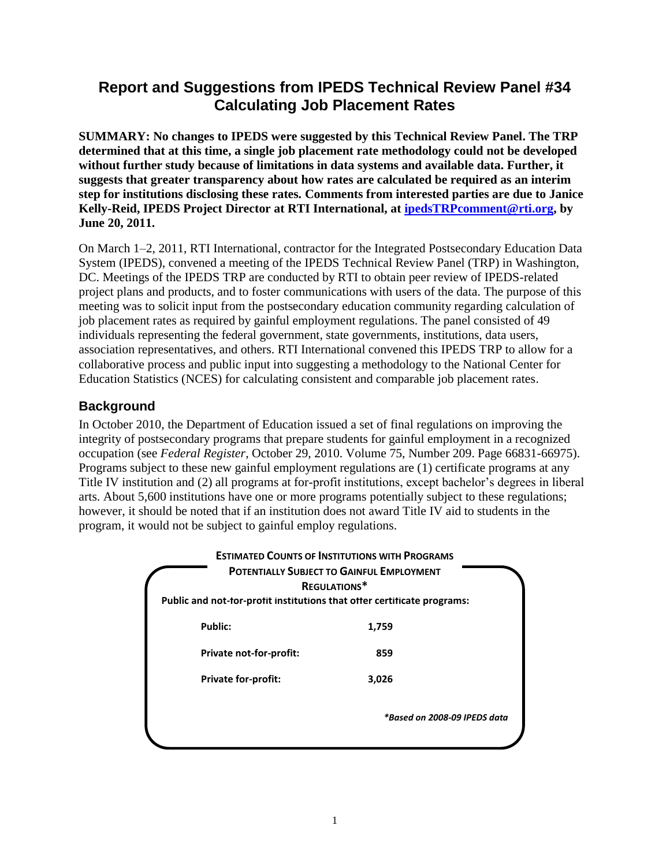# **Report and Suggestions from IPEDS Technical Review Panel #34 Calculating Job Placement Rates**

**SUMMARY: No changes to IPEDS were suggested by this Technical Review Panel. The TRP determined that at this time, a single job placement rate methodology could not be developed without further study because of limitations in data systems and available data. Further, it suggests that greater transparency about how rates are calculated be required as an interim step for institutions disclosing these rates. Comments from interested parties are due to Janice Kelly-Reid, IPEDS Project Director at RTI International, at [ipedsTRPcomment@rti.org,](mailto:ipedsTRPcomment@rti.org) by June 20, 2011.**

On March 1–2, 2011, RTI International, contractor for the Integrated Postsecondary Education Data System (IPEDS), convened a meeting of the IPEDS Technical Review Panel (TRP) in Washington, DC. Meetings of the IPEDS TRP are conducted by RTI to obtain peer review of IPEDS-related project plans and products, and to foster communications with users of the data. The purpose of this meeting was to solicit input from the postsecondary education community regarding calculation of job placement rates as required by gainful employment regulations. The panel consisted of 49 individuals representing the federal government, state governments, institutions, data users, association representatives, and others. RTI International convened this IPEDS TRP to allow for a collaborative process and public input into suggesting a methodology to the National Center for Education Statistics (NCES) for calculating consistent and comparable job placement rates.

# **Background**

In October 2010, the Department of Education issued a set of final regulations on improving the integrity of postsecondary programs that prepare students for gainful employment in a recognized occupation (see *Federal Register*, October 29, 2010. Volume 75, Number 209. Page 66831-66975). Programs subject to these new gainful employment regulations are (1) certificate programs at any Title IV institution and (2) all programs at for-profit institutions, except bachelor's degrees in liberal arts. About 5,600 institutions have one or more programs potentially subject to these regulations; however, it should be noted that if an institution does not award Title IV aid to students in the program, it would not be subject to gainful employ regulations.

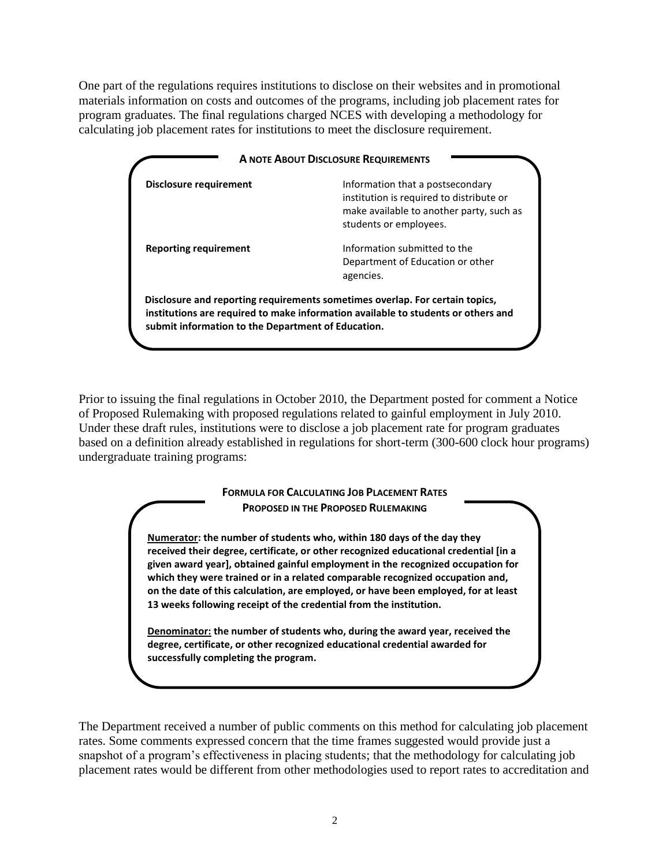One part of the regulations requires institutions to disclose on their websites and in promotional materials information on costs and outcomes of the programs, including job placement rates for program graduates. The final regulations charged NCES with developing a methodology for calculating job placement rates for institutions to meet the disclosure requirement.

| <b>Disclosure requirement</b>                      | Information that a postsecondary<br>institution is required to distribute or<br>make available to another party, such as<br>students or employees.                |
|----------------------------------------------------|-------------------------------------------------------------------------------------------------------------------------------------------------------------------|
| <b>Reporting requirement</b>                       | Information submitted to the<br>Department of Education or other<br>agencies.                                                                                     |
| submit information to the Department of Education. | Disclosure and reporting requirements sometimes overlap. For certain topics,<br>institutions are required to make information available to students or others and |

Prior to issuing the final regulations in October 2010, the Department posted for comment a Notice of Proposed Rulemaking with proposed regulations related to gainful employment in July 2010. Under these draft rules, institutions were to disclose a job placement rate for program graduates based on a definition already established in regulations for short-term (300-600 clock hour programs) undergraduate training programs:

#### **FORMULA FOR CALCULATING JOB PLACEMENT RATES PROPOSED IN THE PROPOSED RULEMAKING**

**Numerator: the number of students who, within 180 days of the day they received their degree, certificate, or other recognized educational credential [in a given award year], obtained gainful employment in the recognized occupation for which they were trained or in a related comparable recognized occupation and, on the date of this calculation, are employed, or have been employed, for at least 13 weeks following receipt of the credential from the institution.**

**Denominator: the number of students who, during the award year, received the degree, certificate, or other recognized educational credential awarded for successfully completing the program.**

The Department received a number of public comments on this method for calculating job placement rates. Some comments expressed concern that the time frames suggested would provide just a snapshot of a program's effectiveness in placing students; that the methodology for calculating job placement rates would be different from other methodologies used to report rates to accreditation and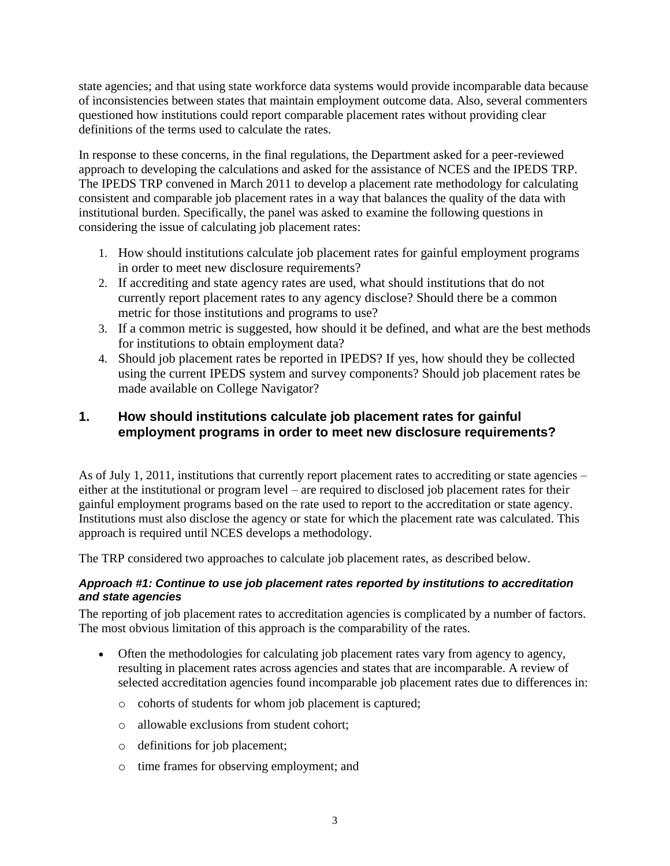state agencies; and that using state workforce data systems would provide incomparable data because of inconsistencies between states that maintain employment outcome data. Also, several commenters questioned how institutions could report comparable placement rates without providing clear definitions of the terms used to calculate the rates.

In response to these concerns, in the final regulations, the Department asked for a peer-reviewed approach to developing the calculations and asked for the assistance of NCES and the IPEDS TRP. The IPEDS TRP convened in March 2011 to develop a placement rate methodology for calculating consistent and comparable job placement rates in a way that balances the quality of the data with institutional burden. Specifically, the panel was asked to examine the following questions in considering the issue of calculating job placement rates:

- 1. How should institutions calculate job placement rates for gainful employment programs in order to meet new disclosure requirements?
- 2. If accrediting and state agency rates are used, what should institutions that do not currently report placement rates to any agency disclose? Should there be a common metric for those institutions and programs to use?
- 3. If a common metric is suggested, how should it be defined, and what are the best methods for institutions to obtain employment data?
- 4. Should job placement rates be reported in IPEDS? If yes, how should they be collected using the current IPEDS system and survey components? Should job placement rates be made available on College Navigator?

# **1. How should institutions calculate job placement rates for gainful employment programs in order to meet new disclosure requirements?**

As of July 1, 2011, institutions that currently report placement rates to accrediting or state agencies – either at the institutional or program level – are required to disclosed job placement rates for their gainful employment programs based on the rate used to report to the accreditation or state agency. Institutions must also disclose the agency or state for which the placement rate was calculated. This approach is required until NCES develops a methodology.

The TRP considered two approaches to calculate job placement rates, as described below.

### *Approach #1: Continue to use job placement rates reported by institutions to accreditation and state agencies*

The reporting of job placement rates to accreditation agencies is complicated by a number of factors. The most obvious limitation of this approach is the comparability of the rates.

- Often the methodologies for calculating job placement rates vary from agency to agency, resulting in placement rates across agencies and states that are incomparable. A review of selected accreditation agencies found incomparable job placement rates due to differences in:
	- o cohorts of students for whom job placement is captured;
	- o allowable exclusions from student cohort;
	- o definitions for job placement;
	- o time frames for observing employment; and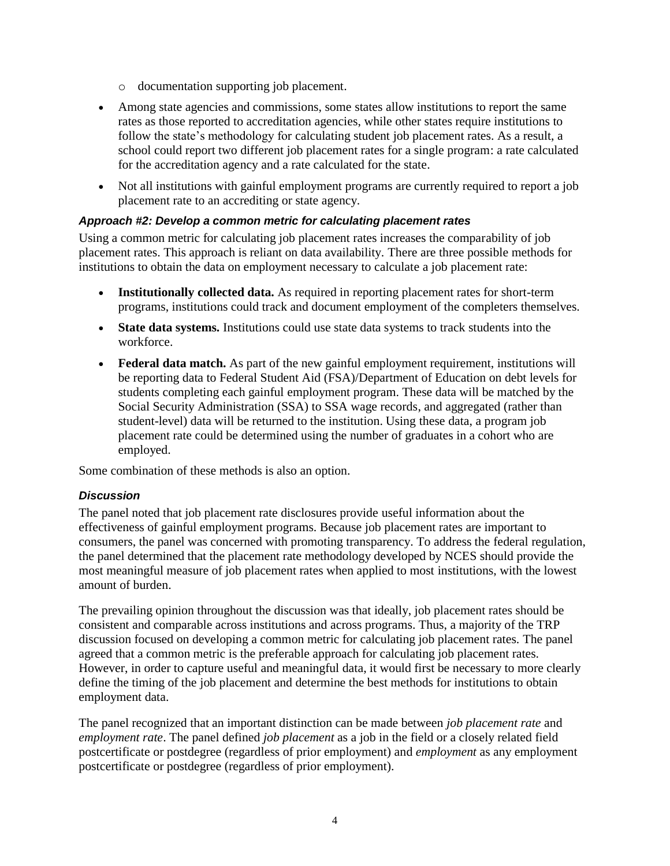- o documentation supporting job placement.
- Among state agencies and commissions, some states allow institutions to report the same rates as those reported to accreditation agencies, while other states require institutions to follow the state's methodology for calculating student job placement rates. As a result, a school could report two different job placement rates for a single program: a rate calculated for the accreditation agency and a rate calculated for the state.
- Not all institutions with gainful employment programs are currently required to report a job placement rate to an accrediting or state agency.

#### *Approach #2: Develop a common metric for calculating placement rates*

Using a common metric for calculating job placement rates increases the comparability of job placement rates. This approach is reliant on data availability. There are three possible methods for institutions to obtain the data on employment necessary to calculate a job placement rate:

- **Institutionally collected data.** As required in reporting placement rates for short-term programs, institutions could track and document employment of the completers themselves.
- **State data systems.** Institutions could use state data systems to track students into the workforce.
- **Federal data match.** As part of the new gainful employment requirement, institutions will be reporting data to Federal Student Aid (FSA)/Department of Education on debt levels for students completing each gainful employment program. These data will be matched by the Social Security Administration (SSA) to SSA wage records, and aggregated (rather than student-level) data will be returned to the institution. Using these data, a program job placement rate could be determined using the number of graduates in a cohort who are employed.

Some combination of these methods is also an option.

#### *Discussion*

The panel noted that job placement rate disclosures provide useful information about the effectiveness of gainful employment programs. Because job placement rates are important to consumers, the panel was concerned with promoting transparency. To address the federal regulation, the panel determined that the placement rate methodology developed by NCES should provide the most meaningful measure of job placement rates when applied to most institutions, with the lowest amount of burden.

The prevailing opinion throughout the discussion was that ideally, job placement rates should be consistent and comparable across institutions and across programs. Thus, a majority of the TRP discussion focused on developing a common metric for calculating job placement rates. The panel agreed that a common metric is the preferable approach for calculating job placement rates. However, in order to capture useful and meaningful data, it would first be necessary to more clearly define the timing of the job placement and determine the best methods for institutions to obtain employment data.

The panel recognized that an important distinction can be made between *job placement rate* and *employment rate*. The panel defined *job placement* as a job in the field or a closely related field postcertificate or postdegree (regardless of prior employment) and *employment* as any employment postcertificate or postdegree (regardless of prior employment).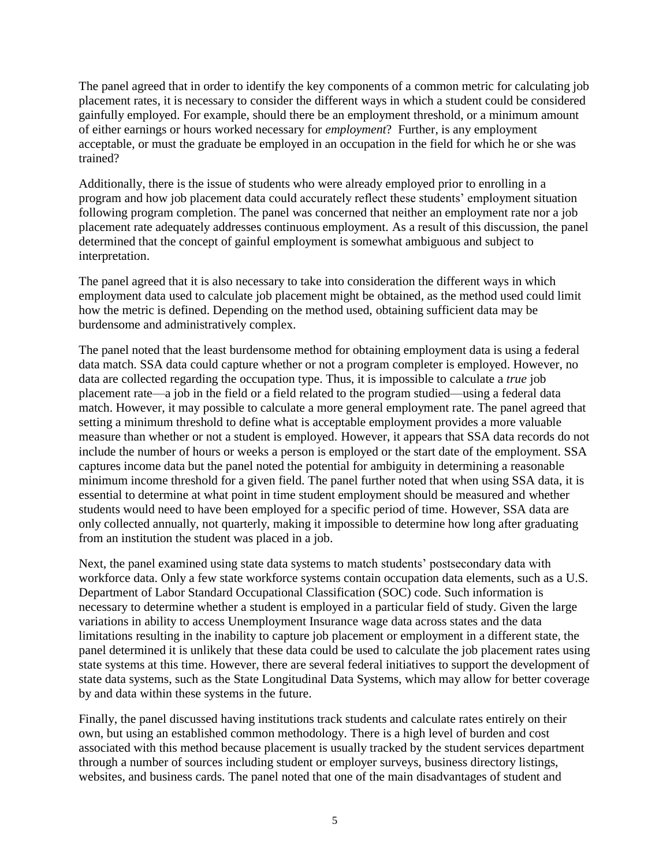The panel agreed that in order to identify the key components of a common metric for calculating job placement rates, it is necessary to consider the different ways in which a student could be considered gainfully employed. For example, should there be an employment threshold, or a minimum amount of either earnings or hours worked necessary for *employment*? Further, is any employment acceptable, or must the graduate be employed in an occupation in the field for which he or she was trained?

Additionally, there is the issue of students who were already employed prior to enrolling in a program and how job placement data could accurately reflect these students' employment situation following program completion. The panel was concerned that neither an employment rate nor a job placement rate adequately addresses continuous employment. As a result of this discussion, the panel determined that the concept of gainful employment is somewhat ambiguous and subject to interpretation.

The panel agreed that it is also necessary to take into consideration the different ways in which employment data used to calculate job placement might be obtained, as the method used could limit how the metric is defined. Depending on the method used, obtaining sufficient data may be burdensome and administratively complex.

The panel noted that the least burdensome method for obtaining employment data is using a federal data match. SSA data could capture whether or not a program completer is employed. However, no data are collected regarding the occupation type. Thus, it is impossible to calculate a *true* job placement rate—a job in the field or a field related to the program studied—using a federal data match. However, it may possible to calculate a more general employment rate. The panel agreed that setting a minimum threshold to define what is acceptable employment provides a more valuable measure than whether or not a student is employed. However, it appears that SSA data records do not include the number of hours or weeks a person is employed or the start date of the employment. SSA captures income data but the panel noted the potential for ambiguity in determining a reasonable minimum income threshold for a given field. The panel further noted that when using SSA data, it is essential to determine at what point in time student employment should be measured and whether students would need to have been employed for a specific period of time. However, SSA data are only collected annually, not quarterly, making it impossible to determine how long after graduating from an institution the student was placed in a job.

Next, the panel examined using state data systems to match students' postsecondary data with workforce data. Only a few state workforce systems contain occupation data elements, such as a U.S. Department of Labor Standard Occupational Classification (SOC) code. Such information is necessary to determine whether a student is employed in a particular field of study. Given the large variations in ability to access Unemployment Insurance wage data across states and the data limitations resulting in the inability to capture job placement or employment in a different state, the panel determined it is unlikely that these data could be used to calculate the job placement rates using state systems at this time. However, there are several federal initiatives to support the development of state data systems, such as the State Longitudinal Data Systems, which may allow for better coverage by and data within these systems in the future.

Finally, the panel discussed having institutions track students and calculate rates entirely on their own, but using an established common methodology. There is a high level of burden and cost associated with this method because placement is usually tracked by the student services department through a number of sources including student or employer surveys, business directory listings, websites, and business cards. The panel noted that one of the main disadvantages of student and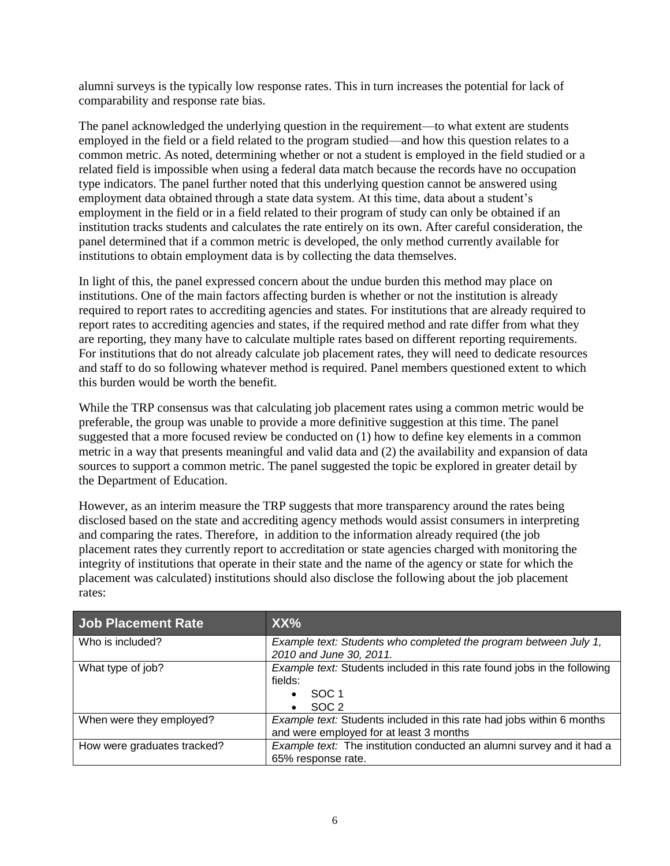alumni surveys is the typically low response rates. This in turn increases the potential for lack of comparability and response rate bias.

The panel acknowledged the underlying question in the requirement—to what extent are students employed in the field or a field related to the program studied—and how this question relates to a common metric. As noted, determining whether or not a student is employed in the field studied or a related field is impossible when using a federal data match because the records have no occupation type indicators. The panel further noted that this underlying question cannot be answered using employment data obtained through a state data system. At this time, data about a student's employment in the field or in a field related to their program of study can only be obtained if an institution tracks students and calculates the rate entirely on its own. After careful consideration, the panel determined that if a common metric is developed, the only method currently available for institutions to obtain employment data is by collecting the data themselves.

In light of this, the panel expressed concern about the undue burden this method may place on institutions. One of the main factors affecting burden is whether or not the institution is already required to report rates to accrediting agencies and states. For institutions that are already required to report rates to accrediting agencies and states, if the required method and rate differ from what they are reporting, they many have to calculate multiple rates based on different reporting requirements. For institutions that do not already calculate job placement rates, they will need to dedicate resources and staff to do so following whatever method is required. Panel members questioned extent to which this burden would be worth the benefit.

While the TRP consensus was that calculating job placement rates using a common metric would be preferable, the group was unable to provide a more definitive suggestion at this time. The panel suggested that a more focused review be conducted on (1) how to define key elements in a common metric in a way that presents meaningful and valid data and (2) the availability and expansion of data sources to support a common metric. The panel suggested the topic be explored in greater detail by the Department of Education.

However, as an interim measure the TRP suggests that more transparency around the rates being disclosed based on the state and accrediting agency methods would assist consumers in interpreting and comparing the rates. Therefore, in addition to the information already required (the job placement rates they currently report to accreditation or state agencies charged with monitoring the integrity of institutions that operate in their state and the name of the agency or state for which the placement was calculated) institutions should also disclose the following about the job placement rates:

| Job Placement Rate          | XX%                                                                                                                         |
|-----------------------------|-----------------------------------------------------------------------------------------------------------------------------|
| Who is included?            | Example text: Students who completed the program between July 1,<br>2010 and June 30, 2011.                                 |
| What type of job?           | Example text: Students included in this rate found jobs in the following<br>fields:<br>SOC <sub>1</sub><br>SOC <sub>2</sub> |
| When were they employed?    | Example text: Students included in this rate had jobs within 6 months<br>and were employed for at least 3 months            |
| How were graduates tracked? | Example text: The institution conducted an alumni survey and it had a<br>65% response rate.                                 |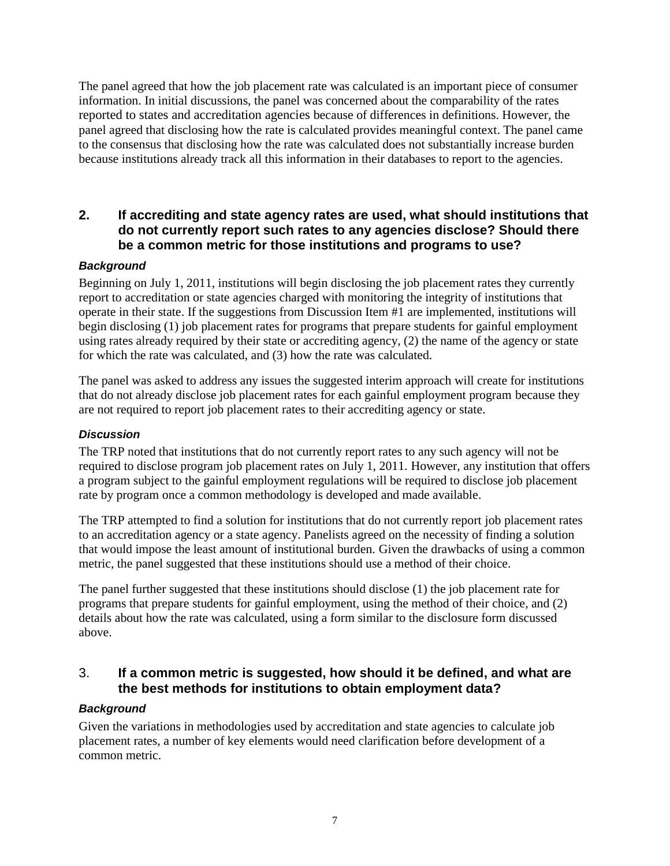The panel agreed that how the job placement rate was calculated is an important piece of consumer information. In initial discussions, the panel was concerned about the comparability of the rates reported to states and accreditation agencies because of differences in definitions. However, the panel agreed that disclosing how the rate is calculated provides meaningful context. The panel came to the consensus that disclosing how the rate was calculated does not substantially increase burden because institutions already track all this information in their databases to report to the agencies.

### **2. If accrediting and state agency rates are used, what should institutions that do not currently report such rates to any agencies disclose? Should there be a common metric for those institutions and programs to use?**

### *Background*

Beginning on July 1, 2011, institutions will begin disclosing the job placement rates they currently report to accreditation or state agencies charged with monitoring the integrity of institutions that operate in their state. If the suggestions from Discussion Item #1 are implemented, institutions will begin disclosing (1) job placement rates for programs that prepare students for gainful employment using rates already required by their state or accrediting agency, (2) the name of the agency or state for which the rate was calculated, and (3) how the rate was calculated.

The panel was asked to address any issues the suggested interim approach will create for institutions that do not already disclose job placement rates for each gainful employment program because they are not required to report job placement rates to their accrediting agency or state.

#### *Discussion*

The TRP noted that institutions that do not currently report rates to any such agency will not be required to disclose program job placement rates on July 1, 2011. However, any institution that offers a program subject to the gainful employment regulations will be required to disclose job placement rate by program once a common methodology is developed and made available.

The TRP attempted to find a solution for institutions that do not currently report job placement rates to an accreditation agency or a state agency. Panelists agreed on the necessity of finding a solution that would impose the least amount of institutional burden. Given the drawbacks of using a common metric, the panel suggested that these institutions should use a method of their choice.

The panel further suggested that these institutions should disclose (1) the job placement rate for programs that prepare students for gainful employment, using the method of their choice, and (2) details about how the rate was calculated, using a form similar to the disclosure form discussed above.

### 3. **If a common metric is suggested, how should it be defined, and what are the best methods for institutions to obtain employment data?**

#### *Background*

Given the variations in methodologies used by accreditation and state agencies to calculate job placement rates, a number of key elements would need clarification before development of a common metric.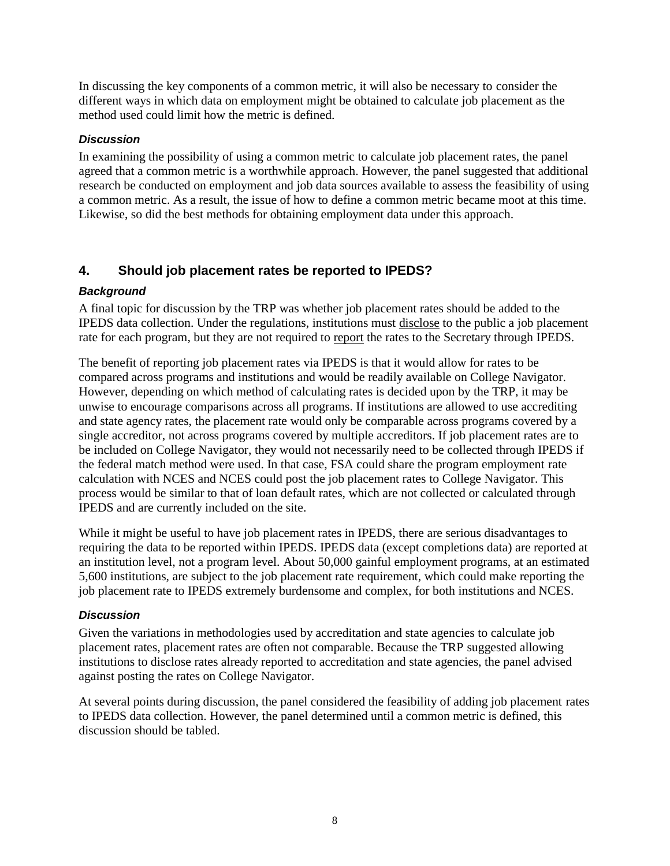In discussing the key components of a common metric, it will also be necessary to consider the different ways in which data on employment might be obtained to calculate job placement as the method used could limit how the metric is defined.

#### *Discussion*

In examining the possibility of using a common metric to calculate job placement rates, the panel agreed that a common metric is a worthwhile approach. However, the panel suggested that additional research be conducted on employment and job data sources available to assess the feasibility of using a common metric. As a result, the issue of how to define a common metric became moot at this time. Likewise, so did the best methods for obtaining employment data under this approach.

# **4. Should job placement rates be reported to IPEDS?**

### *Background*

A final topic for discussion by the TRP was whether job placement rates should be added to the IPEDS data collection. Under the regulations, institutions must disclose to the public a job placement rate for each program, but they are not required to report the rates to the Secretary through IPEDS.

The benefit of reporting job placement rates via IPEDS is that it would allow for rates to be compared across programs and institutions and would be readily available on College Navigator. However, depending on which method of calculating rates is decided upon by the TRP, it may be unwise to encourage comparisons across all programs. If institutions are allowed to use accrediting and state agency rates, the placement rate would only be comparable across programs covered by a single accreditor, not across programs covered by multiple accreditors. If job placement rates are to be included on College Navigator, they would not necessarily need to be collected through IPEDS if the federal match method were used. In that case, FSA could share the program employment rate calculation with NCES and NCES could post the job placement rates to College Navigator. This process would be similar to that of loan default rates, which are not collected or calculated through IPEDS and are currently included on the site.

While it might be useful to have job placement rates in IPEDS, there are serious disadvantages to requiring the data to be reported within IPEDS. IPEDS data (except completions data) are reported at an institution level, not a program level. About 50,000 gainful employment programs, at an estimated 5,600 institutions, are subject to the job placement rate requirement, which could make reporting the job placement rate to IPEDS extremely burdensome and complex, for both institutions and NCES.

#### *Discussion*

Given the variations in methodologies used by accreditation and state agencies to calculate job placement rates, placement rates are often not comparable. Because the TRP suggested allowing institutions to disclose rates already reported to accreditation and state agencies, the panel advised against posting the rates on College Navigator.

At several points during discussion, the panel considered the feasibility of adding job placement rates to IPEDS data collection. However, the panel determined until a common metric is defined, this discussion should be tabled.